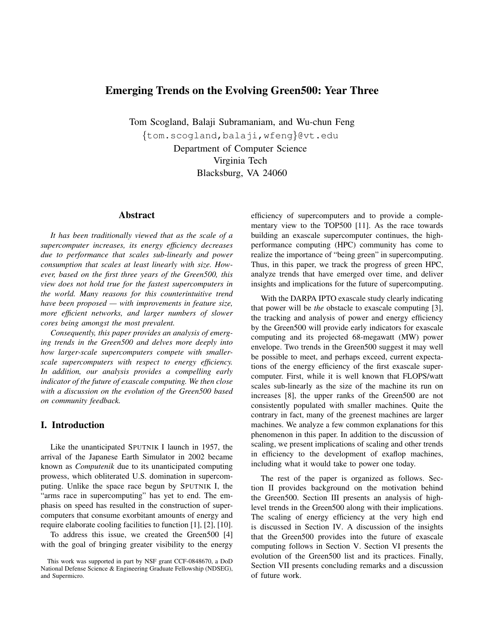# Emerging Trends on the Evolving Green500: Year Three

Tom Scogland, Balaji Subramaniam, and Wu-chun Feng {tom.scogland,balaji,wfeng}@vt.edu

Department of Computer Science Virginia Tech Blacksburg, VA 24060

#### Abstract

*It has been traditionally viewed that as the scale of a supercomputer increases, its energy efficiency decreases due to performance that scales sub-linearly and power consumption that scales at least linearly with size. However, based on the first three years of the Green500, this view does not hold true for the fastest supercomputers in the world. Many reasons for this counterintuitive trend have been proposed — with improvements in feature size, more efficient networks, and larger numbers of slower cores being amongst the most prevalent.*

*Consequently, this paper provides an analysis of emerging trends in the Green500 and delves more deeply into how larger-scale supercomputers compete with smallerscale supercomputers with respect to energy efficiency. In addition, our analysis provides a compelling early indicator of the future of exascale computing. We then close with a discussion on the evolution of the Green500 based on community feedback.*

# I. Introduction

Like the unanticipated SPUTNIK I launch in 1957, the arrival of the Japanese Earth Simulator in 2002 became known as *Computenik* due to its unanticipated computing prowess, which obliterated U.S. domination in supercomputing. Unlike the space race begun by SPUTNIK I, the "arms race in supercomputing" has yet to end. The emphasis on speed has resulted in the construction of supercomputers that consume exorbitant amounts of energy and require elaborate cooling facilities to function [1], [2], [10].

To address this issue, we created the Green500 [4] with the goal of bringing greater visibility to the energy

efficiency of supercomputers and to provide a complementary view to the TOP500 [11]. As the race towards building an exascale supercomputer continues, the highperformance computing (HPC) community has come to realize the importance of "being green" in supercomputing. Thus, in this paper, we track the progress of green HPC, analyze trends that have emerged over time, and deliver insights and implications for the future of supercomputing.

With the DARPA IPTO exascale study clearly indicating that power will be *the* obstacle to exascale computing [3], the tracking and analysis of power and energy efficiency by the Green500 will provide early indicators for exascale computing and its projected 68-megawatt (MW) power envelope. Two trends in the Green500 suggest it may well be possible to meet, and perhaps exceed, current expectations of the energy efficiency of the first exascale supercomputer. First, while it is well known that FLOPS/watt scales sub-linearly as the size of the machine its run on increases [8], the upper ranks of the Green500 are not consistently populated with smaller machines. Quite the contrary in fact, many of the greenest machines are larger machines. We analyze a few common explanations for this phenomenon in this paper. In addition to the discussion of scaling, we present implications of scaling and other trends in efficiency to the development of exaflop machines, including what it would take to power one today.

The rest of the paper is organized as follows. Section II provides background on the motivation behind the Green500. Section III presents an analysis of highlevel trends in the Green500 along with their implications. The scaling of energy efficiency at the very high end is discussed in Section IV. A discussion of the insights that the Green500 provides into the future of exascale computing follows in Section V. Section VI presents the evolution of the Green500 list and its practices. Finally, Section VII presents concluding remarks and a discussion of future work.

This work was supported in part by NSF grant CCF-0848670, a DoD National Defense Science & Engineering Graduate Fellowship (NDSEG), and Supermicro.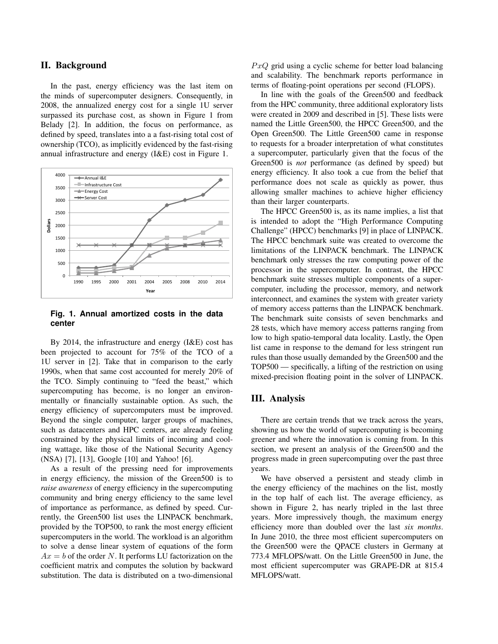#### II. Background

In the past, energy efficiency was the last item on the minds of supercomputer designers. Consequently, in 2008, the annualized energy cost for a single 1U server surpassed its purchase cost, as shown in Figure 1 from Belady [2]. In addition, the focus on performance, as defined by speed, translates into a a fast-rising total cost of ownership (TCO), as implicitly evidenced by the fast-rising annual infrastructure and energy (I&E) cost in Figure 1.



#### **Fig. 1. Annual amortized costs in the data center**

By 2014, the infrastructure and energy (I&E) cost has been projected to account for 75% of the TCO of a 1U server in [2]. Take that in comparison to the early 1990s, when that same cost accounted for merely 20% of the TCO. Simply continuing to "feed the beast," which supercomputing has become, is no longer an environmentally or financially sustainable option. As such, the energy efficiency of supercomputers must be improved. Beyond the single computer, larger groups of machines, such as datacenters and HPC centers, are already feeling constrained by the physical limits of incoming and cooling wattage, like those of the National Security Agency (NSA) [7], [13], Google [10] and Yahoo! [6].

As a result of the pressing need for improvements in energy efficiency, the mission of the Green500 is to *raise awareness* of energy efficiency in the supercomputing community and bring energy efficiency to the same level of importance as performance, as defined by speed. Currently, the Green500 list uses the LINPACK benchmark, provided by the TOP500, to rank the most energy efficient supercomputers in the world. The workload is an algorithm to solve a dense linear system of equations of the form  $Ax = b$  of the order N. It performs LU factorization on the coefficient matrix and computes the solution by backward substitution. The data is distributed on a two-dimensional  $PxQ$  grid using a cyclic scheme for better load balancing and scalability. The benchmark reports performance in terms of floating-point operations per second (FLOPS).

In line with the goals of the Green500 and feedback from the HPC community, three additional exploratory lists were created in 2009 and described in [5]. These lists were named the Little Green500, the HPCC Green500, and the Open Green500. The Little Green500 came in response to requests for a broader interpretation of what constitutes a supercomputer, particularly given that the focus of the Green500 is *not* performance (as defined by speed) but energy efficiency. It also took a cue from the belief that performance does not scale as quickly as power, thus allowing smaller machines to achieve higher efficiency than their larger counterparts.

The HPCC Green500 is, as its name implies, a list that is intended to adopt the "High Performance Computing Challenge" (HPCC) benchmarks [9] in place of LINPACK. The HPCC benchmark suite was created to overcome the limitations of the LINPACK benchmark. The LINPACK benchmark only stresses the raw computing power of the processor in the supercomputer. In contrast, the HPCC benchmark suite stresses multiple components of a supercomputer, including the processor, memory, and network interconnect, and examines the system with greater variety of memory access patterns than the LINPACK benchmark. The benchmark suite consists of seven benchmarks and 28 tests, which have memory access patterns ranging from low to high spatio-temporal data locality. Lastly, the Open list came in response to the demand for less stringent run rules than those usually demanded by the Green500 and the TOP500 — specifically, a lifting of the restriction on using mixed-precision floating point in the solver of LINPACK.

#### III. Analysis

There are certain trends that we track across the years, showing us how the world of supercomputing is becoming greener and where the innovation is coming from. In this section, we present an analysis of the Green500 and the progress made in green supercomputing over the past three years.

We have observed a persistent and steady climb in the energy efficiency of the machines on the list, mostly in the top half of each list. The average efficiency, as shown in Figure 2, has nearly tripled in the last three years. More impressively though, the maximum energy efficiency more than doubled over the last *six months*. In June 2010, the three most efficient supercomputers on the Green500 were the QPACE clusters in Germany at 773.4 MFLOPS/watt. On the Little Green500 in June, the most efficient supercomputer was GRAPE-DR at 815.4 MFLOPS/watt.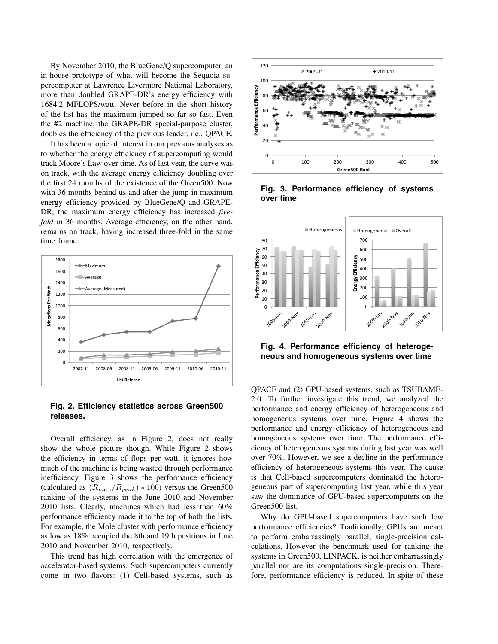By November 2010, the BlueGene/Q supercomputer, an in-house prototype of what will become the Sequoia supercomputer at Lawrence Livermore National Laboratory, more than doubled GRAPE-DR's energy efficiency with 1684.2 MFLOPS/watt. Never before in the short history of the list has the maximum jumped so far so fast. Even the #2 machine, the GRAPE-DR special-purpose cluster, doubles the efficiency of the previous leader, i.e., QPACE.

It has been a topic of interest in our previous analyses as to whether the energy efficiency of supercomputing would track Moore's Law over time. As of last year, the curve was on track, with the average energy efficiency doubling over the first 24 months of the existence of the Green500. Now with 36 months behind us and after the jump in maximum energy efficiency provided by BlueGene/Q and GRAPE-DR, the maximum energy efficiency has increased *fivefold* in 36 months. Average efficiency, on the other hand, remains on track, having increased three-fold in the same time frame.



## **Fig. 2. Efficiency statistics across Green500 releases.**

Overall efficiency, as in Figure 2, does not really show the whole picture though. While Figure 2 shows the efficiency in terms of flops per watt, it ignores how much of the machine is being wasted through performance inefficiency. Figure 3 shows the performance efficiency (calculated as  $(R_{max}/R_{peak}) * 100$ ) versus the Green500 ranking of the systems in the June 2010 and November 2010 lists. Clearly, machines which had less than 60% performance efficiency made it to the top of both the lists. For example, the Mole cluster with performance efficiency as low as 18% occupied the 8th and 19th positions in June 2010 and November 2010, respectively.

This trend has high correlation with the emergence of accelerator-based systems. Such supercomputers currently come in two flavors: (1) Cell-based systems, such as



**Fig. 3. Performance efficiency of systems over time**



**Fig. 4. Performance efficiency of heterogeneous and homogeneous systems over time**

QPACE and (2) GPU-based systems, such as TSUBAME-2.0. To further investigate this trend, we analyzed the performance and energy efficiency of heterogeneous and homogeneous systems over time. Figure 4 shows the performance and energy efficiency of heterogeneous and homogeneous systems over time. The performance efficiency of heterogeneous systems during last year was well over 70%. However, we see a decline in the performance efficiency of heterogeneous systems this year. The cause is that Cell-based supercomputers dominated the heterogeneous part of supercomputing last year, while this year saw the dominance of GPU-based supercomputers on the Green500 list.

Why do GPU-based supercomputers have such low performance efficiencies? Traditionally, GPUs are meant to perform embarrassingly parallel, single-precision calculations. However the benchmark used for ranking the systems in Green500, LINPACK, is neither embarrassingly parallel nor are its computations single-precision. Therefore, performance efficiency is reduced. In spite of these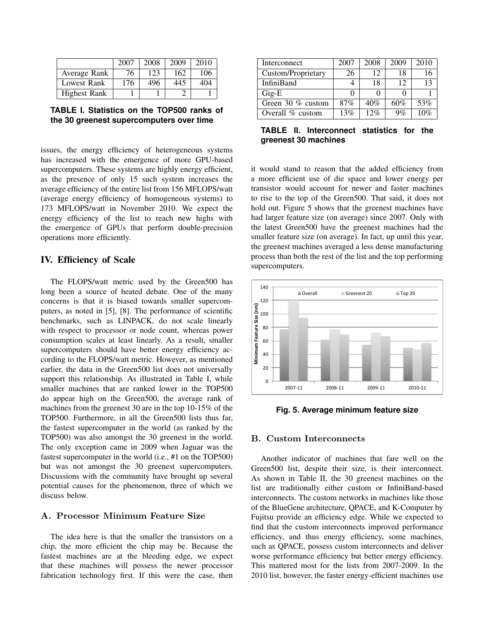|              | 2007 | 2008 | 2009 | 2010 |
|--------------|------|------|------|------|
| Average Rank | 76   | 123  | 162  | 106  |
| Lowest Rank  | 176  | 496  | 445  | 404  |
| Highest Rank |      |      |      |      |



issues, the energy efficiency of heterogeneous systems has increased with the emergence of more GPU-based supercomputers. These systems are highly energy efficient, as the presence of only 15 such system increases the average efficiency of the entire list from 156 MFLOPS/watt (average energy efficiency of homogeneous systems) to 173 MFLOPS/watt in November 2010. We expect the energy efficiency of the list to reach new highs with the emergence of GPUs that perform double-precision operations more efficiently.

#### IV. Efficiency of Scale

The FLOPS/watt metric used by the Green500 has long been a source of heated debate. One of the many concerns is that it is biased towards smaller supercomputers, as noted in [5], [8]. The performance of scientific benchmarks, such as LINPACK, do not scale linearly with respect to processor or node count, whereas power consumption scales at least linearly. As a result, smaller supercomputers should have better energy efficiency according to the FLOPS/watt metric. However, as mentioned earlier, the data in the Green500 list does not universally support this relationship. As illustrated in Table I, while smaller machines that are ranked lower in the TOP500 do appear high on the Green500, the average rank of machines from the greenest 30 are in the top 10-15% of the TOP500. Furthermore, in all the Green500 lists thus far, the fastest supercomputer in the world (as ranked by the TOP500) was also amongst the 30 greenest in the world. The only exception came in 2009 when Jaguar was the fastest supercomputer in the world (i.e., #1 on the TOP500) but was not amongst the 30 greenest supercomputers. Discussions with the community have brought up several potential causes for the phenomenon, three of which we discuss below.

#### A. Processor Minimum Feature Size

The idea here is that the smaller the transistors on a chip, the more efficient the chip may be. Because the fastest machines are at the bleeding edge, we expect that these machines will possess the newer processor fabrication technology first. If this were the case, then

| Interconnect       | 2007 | 2008 | 2009 | 2010 |
|--------------------|------|------|------|------|
| Custom/Proprietary | 26   | 12   | 18   | 16   |
| <b>InfiniBand</b>  |      | 18   | 12   | 13   |
| $\rm{Gig-E}$       |      |      |      |      |
| Green 30 % custom  | 87%  | 40%  | 60%  | 53%  |
| Overall % custom   | 13%  | 12%  | 9%   | 10%  |

**TABLE II. Interconnect statistics for the greenest 30 machines**

it would stand to reason that the added efficiency from a more efficient use of die space and lower energy per transistor would account for newer and faster machines to rise to the top of the Green500. That said, it does not hold out. Figure 5 shows that the greenest machines have had larger feature size (on average) since 2007. Only with the latest Green500 have the greenest machines had the smaller feature size (on average). In fact, up until this year, the greenest machines averaged a less dense manufacturing process than both the rest of the list and the top performing supercomputers.



**Fig. 5. Average minimum feature size**

#### B. Custom Interconnects

Another indicator of machines that fare well on the Green500 list, despite their size, is their interconnect. As shown in Table II, the 30 greenest machines on the list are traditionally either custom or InfiniBand-based interconnects. The custom networks in machines like those of the BlueGene architecture, QPACE, and K-Computer by Fujitsu provide an efficiency edge. While we expected to find that the custom interconnects improved performance efficiency, and thus energy efficiency, some machines, such as QPACE, possess custom interconnects and deliver worse performance efficiency but better energy efficiency. This mattered most for the lists from 2007-2009. In the 2010 list, however, the faster energy-efficient machines use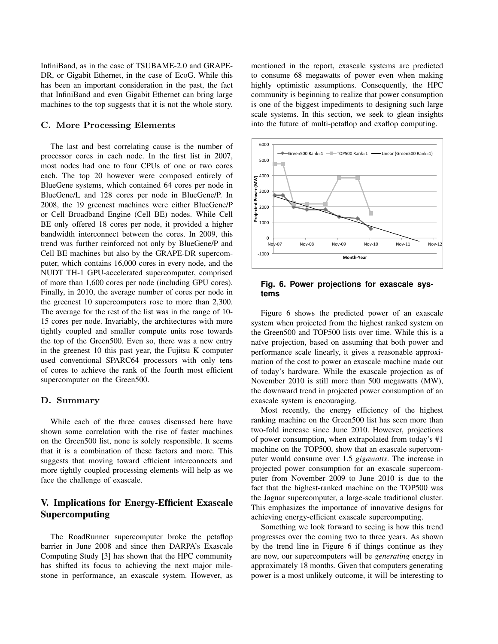InfiniBand, as in the case of TSUBAME-2.0 and GRAPE-DR, or Gigabit Ethernet, in the case of EcoG. While this has been an important consideration in the past, the fact that InfiniBand and even Gigabit Ethernet can bring large machines to the top suggests that it is not the whole story.

### C. More Processing Elements

The last and best correlating cause is the number of processor cores in each node. In the first list in 2007, most nodes had one to four CPUs of one or two cores each. The top 20 however were composed entirely of BlueGene systems, which contained 64 cores per node in BlueGene/L and 128 cores per node in BlueGene/P. In 2008, the 19 greenest machines were either BlueGene/P or Cell Broadband Engine (Cell BE) nodes. While Cell BE only offered 18 cores per node, it provided a higher bandwidth interconnect between the cores. In 2009, this trend was further reinforced not only by BlueGene/P and Cell BE machines but also by the GRAPE-DR supercomputer, which contains 16,000 cores in every node, and the NUDT TH-1 GPU-accelerated supercomputer, comprised of more than 1,600 cores per node (including GPU cores). Finally, in 2010, the average number of cores per node in the greenest 10 supercomputers rose to more than 2,300. The average for the rest of the list was in the range of 10- 15 cores per node. Invariably, the architectures with more tightly coupled and smaller compute units rose towards the top of the Green500. Even so, there was a new entry in the greenest 10 this past year, the Fujitsu K computer used conventional SPARC64 processors with only tens of cores to achieve the rank of the fourth most efficient supercomputer on the Green500.

#### D. Summary

While each of the three causes discussed here have shown some correlation with the rise of faster machines on the Green500 list, none is solely responsible. It seems that it is a combination of these factors and more. This suggests that moving toward efficient interconnects and more tightly coupled processing elements will help as we face the challenge of exascale.

# V. Implications for Energy-Efficient Exascale Supercomputing

The RoadRunner supercomputer broke the petaflop barrier in June 2008 and since then DARPA's Exascale Computing Study [3] has shown that the HPC community has shifted its focus to achieving the next major milestone in performance, an exascale system. However, as mentioned in the report, exascale systems are predicted to consume 68 megawatts of power even when making highly optimistic assumptions. Consequently, the HPC community is beginning to realize that power consumption is one of the biggest impediments to designing such large scale systems. In this section, we seek to glean insights into the future of multi-petaflop and exaflop computing.



#### **Fig. 6. Power projections for exascale systems**

Figure 6 shows the predicted power of an exascale system when projected from the highest ranked system on the Green500 and TOP500 lists over time. While this is a naïve projection, based on assuming that both power and performance scale linearly, it gives a reasonable approximation of the cost to power an exascale machine made out of today's hardware. While the exascale projection as of November 2010 is still more than 500 megawatts (MW), the downward trend in projected power consumption of an exascale system is encouraging.

Most recently, the energy efficiency of the highest ranking machine on the Green500 list has seen more than two-fold increase since June 2010. However, projections of power consumption, when extrapolated from today's #1 machine on the TOP500, show that an exascale supercomputer would consume over 1.5 *gigawatts*. The increase in projected power consumption for an exascale supercomputer from November 2009 to June 2010 is due to the fact that the highest-ranked machine on the TOP500 was the Jaguar supercomputer, a large-scale traditional cluster. This emphasizes the importance of innovative designs for achieving energy-efficient exascale supercomputing.

Something we look forward to seeing is how this trend progresses over the coming two to three years. As shown by the trend line in Figure 6 if things continue as they are now, our supercomputers will be *generating* energy in approximately 18 months. Given that computers generating power is a most unlikely outcome, it will be interesting to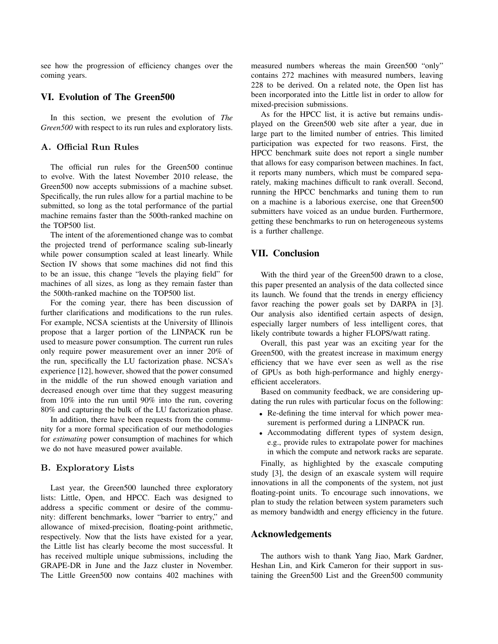see how the progression of efficiency changes over the coming years.

#### VI. Evolution of The Green500

In this section, we present the evolution of *The Green500* with respect to its run rules and exploratory lists.

# A. Official Run Rules

The official run rules for the Green500 continue to evolve. With the latest November 2010 release, the Green500 now accepts submissions of a machine subset. Specifically, the run rules allow for a partial machine to be submitted, so long as the total performance of the partial machine remains faster than the 500th-ranked machine on the TOP500 list.

The intent of the aforementioned change was to combat the projected trend of performance scaling sub-linearly while power consumption scaled at least linearly. While Section IV shows that some machines did not find this to be an issue, this change "levels the playing field" for machines of all sizes, as long as they remain faster than the 500th-ranked machine on the TOP500 list.

For the coming year, there has been discussion of further clarifications and modifications to the run rules. For example, NCSA scientists at the University of Illinois propose that a larger portion of the LINPACK run be used to measure power consumption. The current run rules only require power measurement over an inner 20% of the run, specifically the LU factorization phase. NCSA's experience [12], however, showed that the power consumed in the middle of the run showed enough variation and decreased enough over time that they suggest measuring from 10% into the run until 90% into the run, covering 80% and capturing the bulk of the LU factorization phase.

In addition, there have been requests from the community for a more formal specification of our methodologies for *estimating* power consumption of machines for which we do not have measured power available.

#### B. Exploratory Lists

Last year, the Green500 launched three exploratory lists: Little, Open, and HPCC. Each was designed to address a specific comment or desire of the community: different benchmarks, lower "barrier to entry," and allowance of mixed-precision, floating-point arithmetic, respectively. Now that the lists have existed for a year, the Little list has clearly become the most successful. It has received multiple unique submissions, including the GRAPE-DR in June and the Jazz cluster in November. The Little Green500 now contains 402 machines with measured numbers whereas the main Green500 "only" contains 272 machines with measured numbers, leaving 228 to be derived. On a related note, the Open list has been incorporated into the Little list in order to allow for mixed-precision submissions.

As for the HPCC list, it is active but remains undisplayed on the Green500 web site after a year, due in large part to the limited number of entries. This limited participation was expected for two reasons. First, the HPCC benchmark suite does not report a single number that allows for easy comparison between machines. In fact, it reports many numbers, which must be compared separately, making machines difficult to rank overall. Second, running the HPCC benchmarks and tuning them to run on a machine is a laborious exercise, one that Green500 submitters have voiced as an undue burden. Furthermore, getting these benchmarks to run on heterogeneous systems is a further challenge.

# VII. Conclusion

With the third year of the Green500 drawn to a close, this paper presented an analysis of the data collected since its launch. We found that the trends in energy efficiency favor reaching the power goals set by DARPA in [3]. Our analysis also identified certain aspects of design, especially larger numbers of less intelligent cores, that likely contribute towards a higher FLOPS/watt rating.

Overall, this past year was an exciting year for the Green500, with the greatest increase in maximum energy efficiency that we have ever seen as well as the rise of GPUs as both high-performance and highly energyefficient accelerators.

Based on community feedback, we are considering updating the run rules with particular focus on the following:

- Re-defining the time interval for which power measurement is performed during a LINPACK run.
- Accommodating different types of system design, e.g., provide rules to extrapolate power for machines in which the compute and network racks are separate.

Finally, as highlighted by the exascale computing study [3], the design of an exascale system will require innovations in all the components of the system, not just floating-point units. To encourage such innovations, we plan to study the relation between system parameters such as memory bandwidth and energy efficiency in the future.

#### Acknowledgements

The authors wish to thank Yang Jiao, Mark Gardner, Heshan Lin, and Kirk Cameron for their support in sustaining the Green500 List and the Green500 community